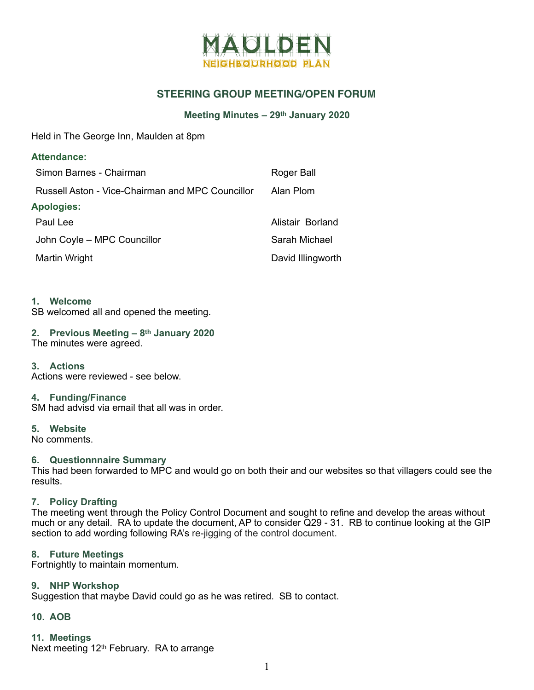

## **STEERING GROUP MEETING/OPEN FORUM**

## **Meeting Minutes – 29th January 2020**

Held in The George Inn, Maulden at 8pm

| <b>Attendance:</b>                               |                   |
|--------------------------------------------------|-------------------|
| Simon Barnes - Chairman                          | Roger Ball        |
| Russell Aston - Vice-Chairman and MPC Councillor | Alan Plom         |
| <b>Apologies:</b>                                |                   |
| Paul Lee                                         | Alistair Borland  |
| John Coyle - MPC Councillor                      | Sarah Michael     |
| Martin Wright                                    | David Illingworth |

### **1. Welcome**

SB welcomed all and opened the meeting.

#### **2. Previous Meeting – 8th January 2020**  The minutes were agreed.

**3. Actions** 

Actions were reviewed - see below.

### **4. Funding/Finance**

SM had advisd via email that all was in order.

#### **5. Website**

No comments.

### **6. Questionnnaire Summary**

This had been forwarded to MPC and would go on both their and our websites so that villagers could see the results.

### **7. Policy Drafting**

The meeting went through the Policy Control Document and sought to refine and develop the areas without much or any detail. RA to update the document, AP to consider Q29 - 31. RB to continue looking at the GIP section to add wording following RA's re-jigging of the control document.

### **8. Future Meetings**

Fortnightly to maintain momentum.

#### **9. NHP Workshop**

Suggestion that maybe David could go as he was retired. SB to contact.

## **10. AOB**

### **11. Meetings**

Next meeting 12th February. RA to arrange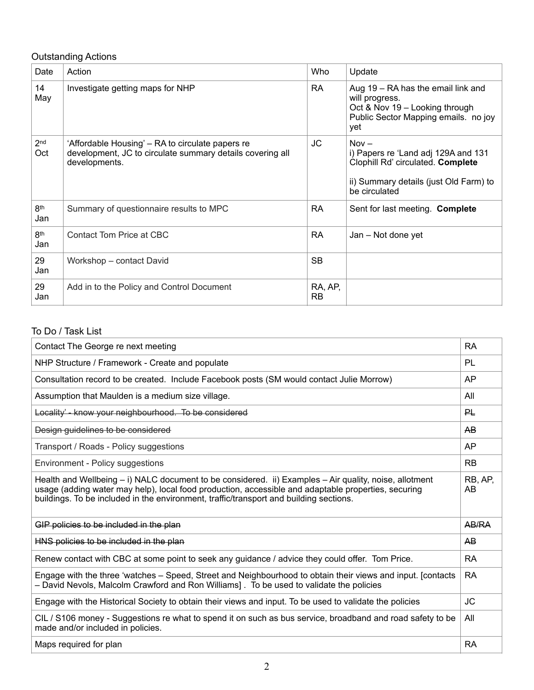# Outstanding Actions

| Date                   | Action                                                                                                                         | Who                  | Update                                                                                                                                         |
|------------------------|--------------------------------------------------------------------------------------------------------------------------------|----------------------|------------------------------------------------------------------------------------------------------------------------------------------------|
| 14<br>May              | Investigate getting maps for NHP                                                                                               | RA.                  | Aug 19 – RA has the email link and<br>will progress.<br>Oct & Nov 19 - Looking through<br>Public Sector Mapping emails. no joy<br>yet          |
| 2 <sub>nd</sub><br>Oct | 'Affordable Housing' – RA to circulate papers re<br>development, JC to circulate summary details covering all<br>developments. | JC                   | $Now -$<br>i) Papers re 'Land adj 129A and 131<br>Clophill Rd' circulated. Complete<br>ii) Summary details (just Old Farm) to<br>be circulated |
| 8th<br>Jan             | Summary of questionnaire results to MPC                                                                                        | <b>RA</b>            | Sent for last meeting. Complete                                                                                                                |
| 8th<br>Jan             | Contact Tom Price at CBC                                                                                                       | <b>RA</b>            | Jan – Not done yet                                                                                                                             |
| 29<br>Jan              | Workshop - contact David                                                                                                       | <b>SB</b>            |                                                                                                                                                |
| 29<br>Jan              | Add in to the Policy and Control Document                                                                                      | RA, AP,<br><b>RB</b> |                                                                                                                                                |

# To Do / Task List

| Contact The George re next meeting                                                                                                                                                                                                                                                                          | <b>RA</b>      |
|-------------------------------------------------------------------------------------------------------------------------------------------------------------------------------------------------------------------------------------------------------------------------------------------------------------|----------------|
| NHP Structure / Framework - Create and populate                                                                                                                                                                                                                                                             | PL             |
| Consultation record to be created. Include Facebook posts (SM would contact Julie Morrow)                                                                                                                                                                                                                   | AP             |
| Assumption that Maulden is a medium size village.                                                                                                                                                                                                                                                           | All            |
| Locality' - know your neighbourhood. To be considered                                                                                                                                                                                                                                                       | 많              |
| Design guidelines to be considered                                                                                                                                                                                                                                                                          | AB             |
| Transport / Roads - Policy suggestions                                                                                                                                                                                                                                                                      | AP             |
| Environment - Policy suggestions                                                                                                                                                                                                                                                                            | <b>RB</b>      |
| Health and Wellbeing $-$ i) NALC document to be considered. ii) Examples $-$ Air quality, noise, allotment<br>usage (adding water may help), local food production, accessible and adaptable properties, securing<br>buildings. To be included in the environment, traffic/transport and building sections. | RB, AP,<br>AB. |
| GIP policies to be included in the plan                                                                                                                                                                                                                                                                     | AB/RA          |
| HNS policies to be included in the plan                                                                                                                                                                                                                                                                     | AB             |
| Renew contact with CBC at some point to seek any guidance / advice they could offer. Tom Price.                                                                                                                                                                                                             | <b>RA</b>      |
| Engage with the three 'watches – Speed, Street and Neighbourhood to obtain their views and input. [contacts]<br>- David Nevols, Malcolm Crawford and Ron Williams]. To be used to validate the policies                                                                                                     | <b>RA</b>      |
| Engage with the Historical Society to obtain their views and input. To be used to validate the policies                                                                                                                                                                                                     | <b>JC</b>      |
| CIL / S106 money - Suggestions re what to spend it on such as bus service, broadband and road safety to be<br>made and/or included in policies.                                                                                                                                                             | All            |
| Maps required for plan                                                                                                                                                                                                                                                                                      | <b>RA</b>      |